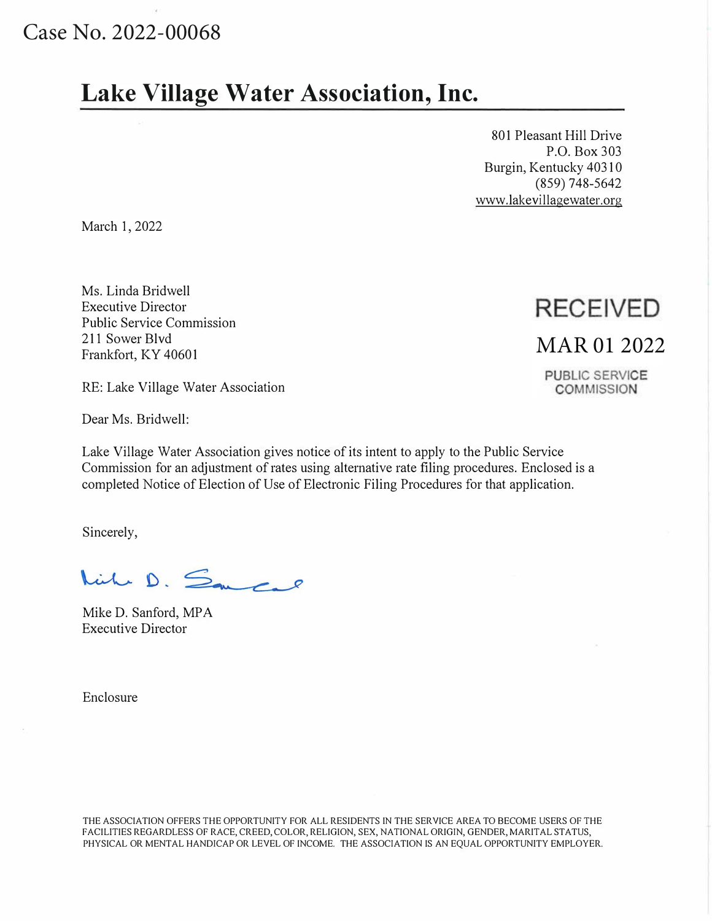## Case No. 2022-00068

# **Lake Village Water Association, Inc.**

801 Pleasant Hill Drive P.O. Box 303 Burgin, Kentucky 40310 (859) 748-5642 www.lakevillagewater.org

March 1, 2022

Ms. Linda Bridwell Executive Director Public Service Commission 211 Sower Blvd Frankfort, KY 40601

RE: Lake Village Water Association

Dear Ms. Bridwell:

Lake Village Water Association gives notice of its intent to apply to the Public Service Commission for an adjustment of rates using alternative rate filing procedures. Enclosed is a completed Notice of Election of Use of Electronic Filing Procedures for that application.

Sincerely,

Nich D. Samcal

Mike D. Sanford, MPA Executive Director

Enclosure

#### THE ASSOCIATION OFFERS THE OPPORTUNITY FOR ALL RESIDENTS IN THE SERVICE AREA TO BECOME USERS OF THE FACILITIES REGARDLESS OF RACE, CREED, COLOR, RELIGION, SEX, NATIONAL ORIGIN, GENDER, MARITAL STATUS, PHYSICAL OR MENTAL HANDICAP OR LEVEL OF INCOME. THE ASSOCIATION IS AN EQUAL OPPORTUNITY EMPLOYER.

**RECEIVED** 

## MAR 01 2022

PUBLIC SERVICE **COMMISSION**